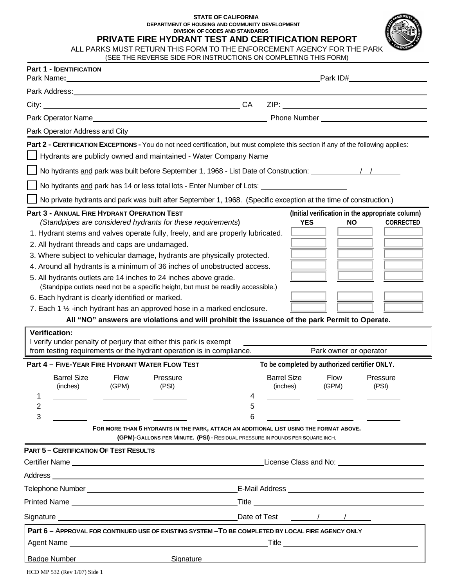#### **STATE OF CALIFORNIA DEPARTMENT OF HOUSING AND COMMUNITY DEVELOPMENT DIVISION OF CODES AND STANDARDS**

**PRIVATE FIRE HYDRANT TEST AND CERTIFICATION REPORT** 

| ALL PARKS MUST RETURN THIS FORM TO THE ENFORCEMENT AGENCY FOR THE PARK |  |
|------------------------------------------------------------------------|--|
| (SEE THE REVERSE SIDE FOR INSTRUCTIONS ON COMPLETING THIS FORM)        |  |

|                                                                                                                | <b>Part 1 - IDENTIFICATION</b><br>Park Name: The Market State State State State State State State State State State State State State State State State State State State State State State State State State State State State State State State State State St |                      |                                                                                                                                                                                                                                                                                                                                                                                                                                                                                                                                                                                                                                             |             |                                | Park ID#             |                                                                      |  |
|----------------------------------------------------------------------------------------------------------------|------------------------------------------------------------------------------------------------------------------------------------------------------------------------------------------------------------------------------------------------------------------|----------------------|---------------------------------------------------------------------------------------------------------------------------------------------------------------------------------------------------------------------------------------------------------------------------------------------------------------------------------------------------------------------------------------------------------------------------------------------------------------------------------------------------------------------------------------------------------------------------------------------------------------------------------------------|-------------|--------------------------------|----------------------|----------------------------------------------------------------------|--|
|                                                                                                                |                                                                                                                                                                                                                                                                  |                      | Park Address: No. 1996. The Contract of the Contract of the Contract of the Contract of the Contract of the Contract of the Contract of the Contract of the Contract of the Contract of the Contract of the Contract of the Co                                                                                                                                                                                                                                                                                                                                                                                                              |             |                                |                      |                                                                      |  |
|                                                                                                                |                                                                                                                                                                                                                                                                  |                      | City: City: Call Contract Contract Contract Contract Contract Contract Contract Contract Contract Contract Contract Contract Contract Contract Contract Contract Contract Contract Contract Contract Contract Contract Contrac                                                                                                                                                                                                                                                                                                                                                                                                              |             |                                |                      |                                                                      |  |
|                                                                                                                |                                                                                                                                                                                                                                                                  |                      |                                                                                                                                                                                                                                                                                                                                                                                                                                                                                                                                                                                                                                             |             |                                |                      |                                                                      |  |
|                                                                                                                |                                                                                                                                                                                                                                                                  |                      |                                                                                                                                                                                                                                                                                                                                                                                                                                                                                                                                                                                                                                             |             |                                |                      |                                                                      |  |
|                                                                                                                |                                                                                                                                                                                                                                                                  |                      | Part 2 - CERTIFICATION EXCEPTIONS - You do not need certification, but must complete this section if any of the following applies:                                                                                                                                                                                                                                                                                                                                                                                                                                                                                                          |             |                                |                      |                                                                      |  |
| Hydrants are publicly owned and maintained - Water Company Name                                                |                                                                                                                                                                                                                                                                  |                      |                                                                                                                                                                                                                                                                                                                                                                                                                                                                                                                                                                                                                                             |             |                                |                      |                                                                      |  |
| No hydrants and park was built before September 1, 1968 - List Date of Construction: \\ \\ \\ \\ \\ \\ \\ \\ \ |                                                                                                                                                                                                                                                                  |                      |                                                                                                                                                                                                                                                                                                                                                                                                                                                                                                                                                                                                                                             |             |                                |                      |                                                                      |  |
| No hydrants and park has 14 or less total lots - Enter Number of Lots: _____________________________           |                                                                                                                                                                                                                                                                  |                      |                                                                                                                                                                                                                                                                                                                                                                                                                                                                                                                                                                                                                                             |             |                                |                      |                                                                      |  |
|                                                                                                                |                                                                                                                                                                                                                                                                  |                      | No private hydrants and park was built after September 1, 1968. (Specific exception at the time of construction.)                                                                                                                                                                                                                                                                                                                                                                                                                                                                                                                           |             |                                |                      |                                                                      |  |
|                                                                                                                | Part 3 - ANNUAL FIRE HYDRANT OPERATION TEST<br>2. All hydrant threads and caps are undamaged.<br>6. Each hydrant is clearly identified or marked.<br><b>Verification:</b>                                                                                        |                      | (Standpipes are considered hydrants for these requirements)<br>1. Hydrant stems and valves operate fully, freely, and are properly lubricated.<br>3. Where subject to vehicular damage, hydrants are physically protected.<br>4. Around all hydrants is a minimum of 36 inches of unobstructed access.<br>5. All hydrants outlets are 14 inches to 24 inches above grade.<br>(Standpipe outlets need not be a specific height, but must be readily accessible.)<br>7. Each 1 1/2 -inch hydrant has an approved hose in a marked enclosure.<br>All "NO" answers are violations and will prohibit the issuance of the park Permit to Operate. |             |                                | <b>YES</b><br>NO.    | (Initial verification in the appropriate column)<br><b>CORRECTED</b> |  |
|                                                                                                                | I verify under penalty of perjury that either this park is exempt<br>from testing requirements or the hydrant operation is in compliance.<br>Park owner or operator                                                                                              |                      |                                                                                                                                                                                                                                                                                                                                                                                                                                                                                                                                                                                                                                             |             |                                |                      |                                                                      |  |
| Part 4 - FIVE-YEAR FIRE HYDRANT WATER FLOW TEST<br>To be completed by authorized certifier ONLY.               |                                                                                                                                                                                                                                                                  |                      |                                                                                                                                                                                                                                                                                                                                                                                                                                                                                                                                                                                                                                             |             |                                |                      |                                                                      |  |
| 1<br>2<br>3                                                                                                    | <b>Barrel Size</b><br>(inches)                                                                                                                                                                                                                                   | <b>Flow</b><br>(GPM) | Pressure<br>(PSI)<br>FOR MORE THAN 6 HYDRANTS IN THE PARK, ATTACH AN ADDITIONAL LIST USING THE FORMAT ABOVE.                                                                                                                                                                                                                                                                                                                                                                                                                                                                                                                                | 4<br>5<br>6 | <b>Barrel Size</b><br>(inches) | <b>Flow</b><br>(GPM) | Pressure<br>(PSI)                                                    |  |
|                                                                                                                |                                                                                                                                                                                                                                                                  |                      | (GPM)-GALLONS PER MINUTE. (PSI) - RESIDUAL PRESSURE IN POUNDS PER SQUARE INCH.                                                                                                                                                                                                                                                                                                                                                                                                                                                                                                                                                              |             |                                |                      |                                                                      |  |
|                                                                                                                | <b>PART 5 - CERTIFICATION OF TEST RESULTS</b>                                                                                                                                                                                                                    |                      |                                                                                                                                                                                                                                                                                                                                                                                                                                                                                                                                                                                                                                             |             |                                |                      | License Class and No: <u>contained a series of the series of</u>     |  |
|                                                                                                                |                                                                                                                                                                                                                                                                  |                      |                                                                                                                                                                                                                                                                                                                                                                                                                                                                                                                                                                                                                                             |             |                                |                      |                                                                      |  |
|                                                                                                                |                                                                                                                                                                                                                                                                  |                      |                                                                                                                                                                                                                                                                                                                                                                                                                                                                                                                                                                                                                                             |             |                                |                      |                                                                      |  |
|                                                                                                                |                                                                                                                                                                                                                                                                  |                      |                                                                                                                                                                                                                                                                                                                                                                                                                                                                                                                                                                                                                                             |             |                                | $\sqrt{2}$           |                                                                      |  |
|                                                                                                                |                                                                                                                                                                                                                                                                  |                      | Part 6 - APPROVAL FOR CONTINUED USE OF EXISTING SYSTEM - TO BE COMPLETED BY LOCAL FIRE AGENCY ONLY                                                                                                                                                                                                                                                                                                                                                                                                                                                                                                                                          |             |                                |                      | Title <u>____________________________</u>                            |  |
|                                                                                                                | <b>Badge Number</b>                                                                                                                                                                                                                                              |                      | Signature                                                                                                                                                                                                                                                                                                                                                                                                                                                                                                                                                                                                                                   |             |                                |                      |                                                                      |  |